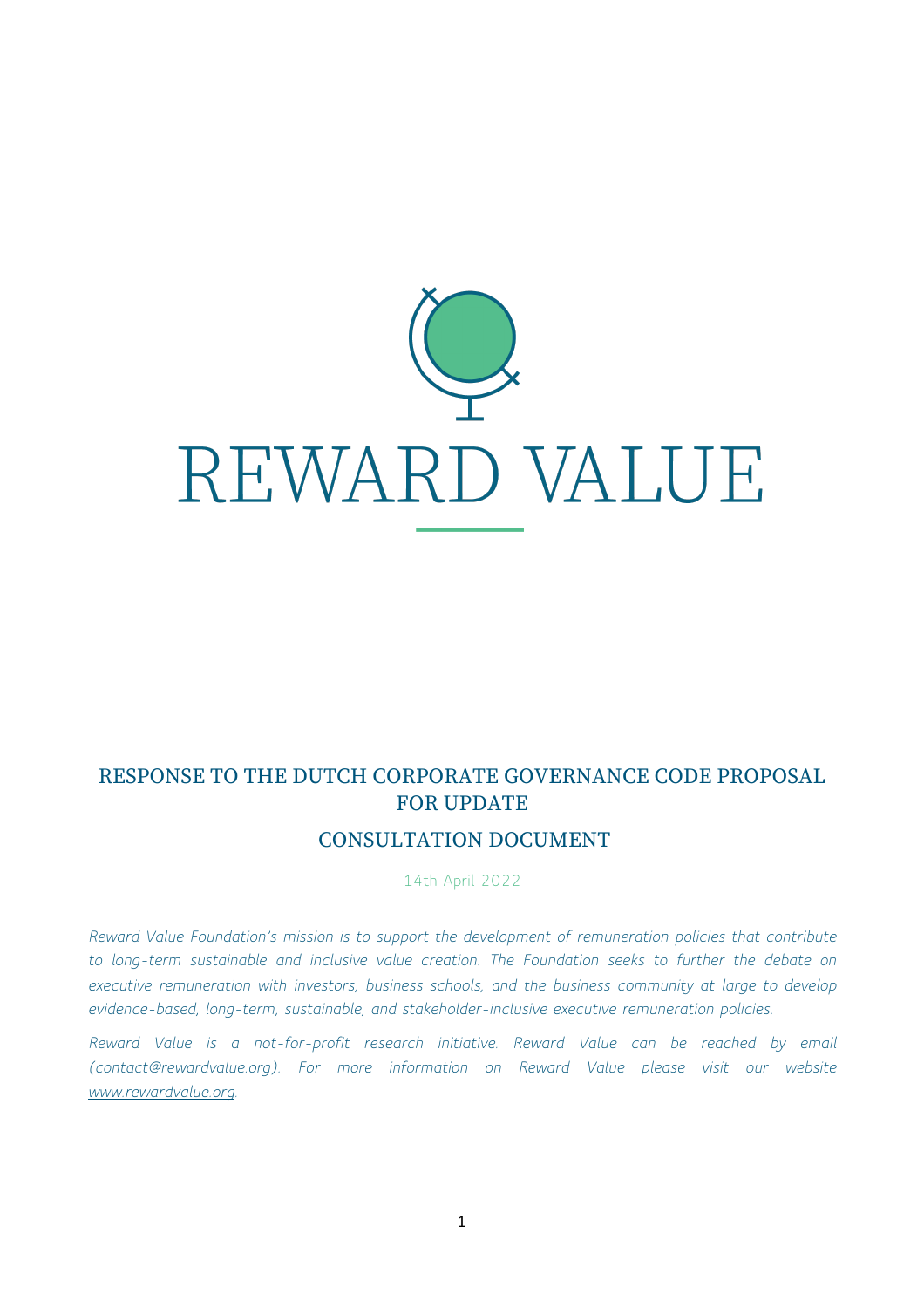

# RESPONSE TO THE DUTCH CORPORATE GOVERNANCE CODE PROPOSAL FOR UPDATE

## CONSULTATION DOCUMENT

14th April 2022

*Reward Value Foundation's mission is to support the development of remuneration policies that contribute to long-term sustainable and inclusive value creation. The Foundation seeks to further the debate on executive remuneration with investors, business schools, and the business community at large to develop evidence-based, long-term, sustainable, and stakeholder-inclusive executive remuneration policies.* 

*Reward Value is a not-for-profit research initiative. Reward Value can be reached by email (contact@rewardvalue.org). For more information on Reward Value please visit our website www.rewardvalue.org.*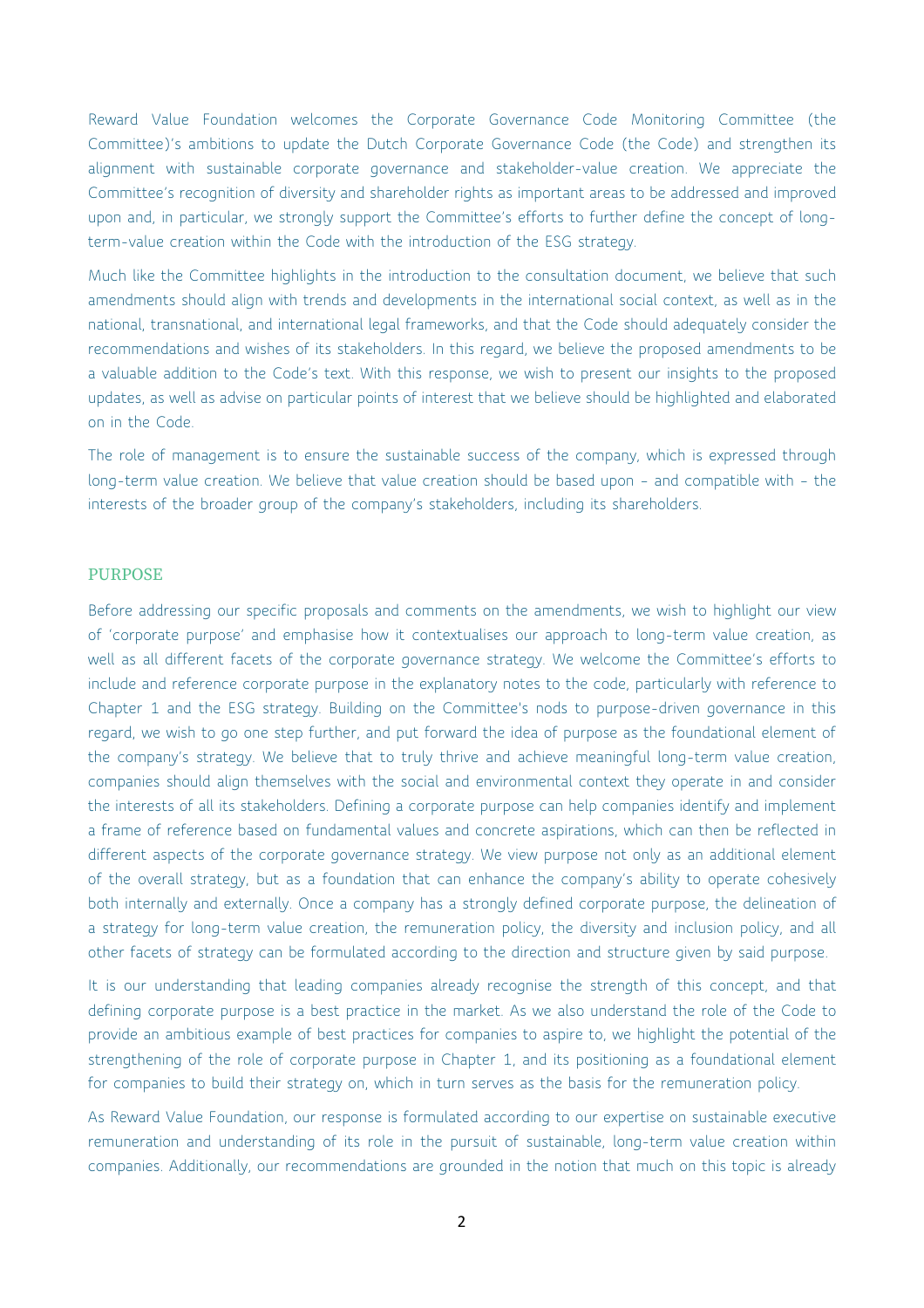Reward Value Foundation welcomes the Corporate Governance Code Monitoring Committee (the Committee)'s ambitions to update the Dutch Corporate Governance Code (the Code) and strengthen its alignment with sustainable corporate governance and stakeholder-value creation. We appreciate the Committee's recognition of diversity and shareholder rights as important areas to be addressed and improved upon and, in particular, we strongly support the Committee's efforts to further define the concept of longterm-value creation within the Code with the introduction of the ESG strategy.

Much like the Committee highlights in the introduction to the consultation document, we believe that such amendments should align with trends and developments in the international social context, as well as in the national, transnational, and international legal frameworks, and that the Code should adequately consider the recommendations and wishes of its stakeholders. In this regard, we believe the proposed amendments to be a valuable addition to the Code's text. With this response, we wish to present our insights to the proposed updates, as well as advise on particular points of interest that we believe should be highlighted and elaborated on in the Code.

The role of management is to ensure the sustainable success of the company, which is expressed through long-term value creation. We believe that value creation should be based upon – and compatible with – the interests of the broader group of the company's stakeholders, including its shareholders.

## PURPOSE

Before addressing our specific proposals and comments on the amendments, we wish to highlight our view of 'corporate purpose' and emphasise how it contextualises our approach to long-term value creation, as well as all different facets of the corporate governance strategy. We welcome the Committee's efforts to include and reference corporate purpose in the explanatory notes to the code, particularly with reference to Chapter 1 and the ESG strategy. Building on the Committee's nods to purpose-driven governance in this regard, we wish to go one step further, and put forward the idea of purpose as the foundational element of the company's strategy. We believe that to truly thrive and achieve meaningful long-term value creation, companies should align themselves with the social and environmental context they operate in and consider the interests of all its stakeholders. Defining a corporate purpose can help companies identify and implement a frame of reference based on fundamental values and concrete aspirations, which can then be reflected in different aspects of the corporate governance strategy. We view purpose not only as an additional element of the overall strategy, but as a foundation that can enhance the company's ability to operate cohesively both internally and externally. Once a company has a strongly defined corporate purpose, the delineation of a strategy for long-term value creation, the remuneration policy, the diversity and inclusion policy, and all other facets of strategy can be formulated according to the direction and structure given by said purpose.

It is our understanding that leading companies already recognise the strength of this concept, and that defining corporate purpose is a best practice in the market. As we also understand the role of the Code to provide an ambitious example of best practices for companies to aspire to, we highlight the potential of the strengthening of the role of corporate purpose in Chapter 1, and its positioning as a foundational element for companies to build their strategy on, which in turn serves as the basis for the remuneration policy.

As Reward Value Foundation, our response is formulated according to our expertise on sustainable executive remuneration and understanding of its role in the pursuit of sustainable, long-term value creation within companies. Additionally, our recommendations are grounded in the notion that much on this topic is already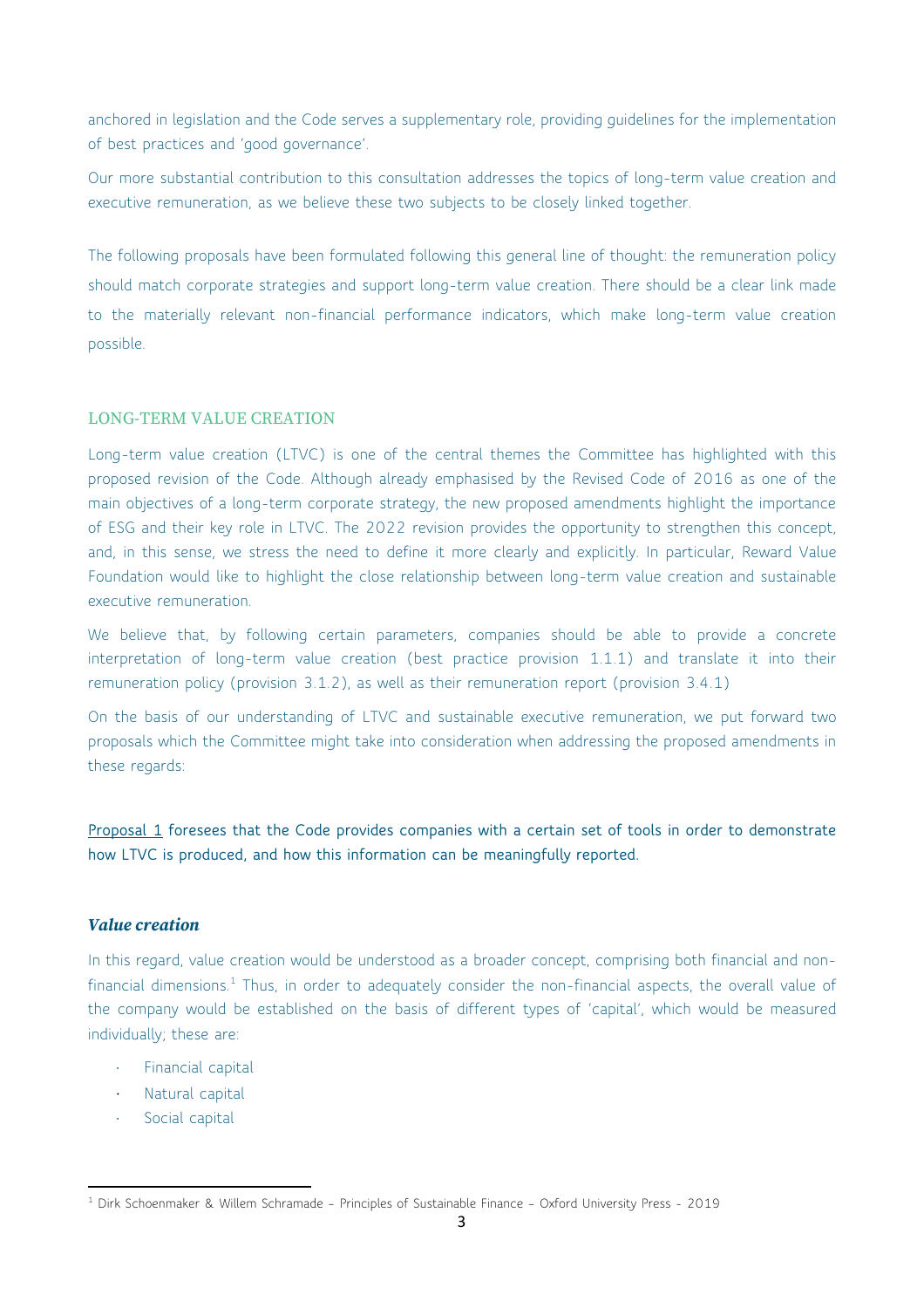anchored in legislation and the Code serves a supplementary role, providing guidelines for the implementation of best practices and 'good governance'.

Our more substantial contribution to this consultation addresses the topics of long-term value creation and executive remuneration, as we believe these two subjects to be closely linked together.

The following proposals have been formulated following this general line of thought: the remuneration policy should match corporate strategies and support long-term value creation. There should be a clear link made to the materially relevant non-financial performance indicators, which make long-term value creation possible.

#### LONG-TERM VALUE CREATION

Long-term value creation (LTVC) is one of the central themes the Committee has highlighted with this proposed revision of the Code. Although already emphasised by the Revised Code of 2016 as one of the main objectives of a long-term corporate strategy, the new proposed amendments highlight the importance of ESG and their key role in LTVC. The 2022 revision provides the opportunity to strengthen this concept, and, in this sense, we stress the need to define it more clearly and explicitly. In particular, Reward Value Foundation would like to highlight the close relationship between long-term value creation and sustainable executive remuneration.

We believe that, by following certain parameters, companies should be able to provide a concrete interpretation of long-term value creation (best practice provision 1.1.1) and translate it into their remuneration policy (provision 3.1.2), as well as their remuneration report (provision 3.4.1)

On the basis of our understanding of LTVC and sustainable executive remuneration, we put forward two proposals which the Committee might take into consideration when addressing the proposed amendments in these regards:

**Proposal 1 foresees that the Code provides companies with a certain set of tools in order to demonstrate how LTVC is produced, and how this information can be meaningfully reported.** 

#### *Value creation*

In this regard, value creation would be understood as a broader concept, comprising both financial and nonfinancial dimensions.<sup>1</sup> Thus, in order to adequately consider the non-financial aspects, the overall value of the company would be established on the basis of different types of 'capital', which would be measured individually; these are:

- Financial capital
- Natural capital
- Social capital

<sup>1</sup> Dirk Schoenmaker & Willem Schramade – Principles of Sustainable Finance – Oxford University Press - 2019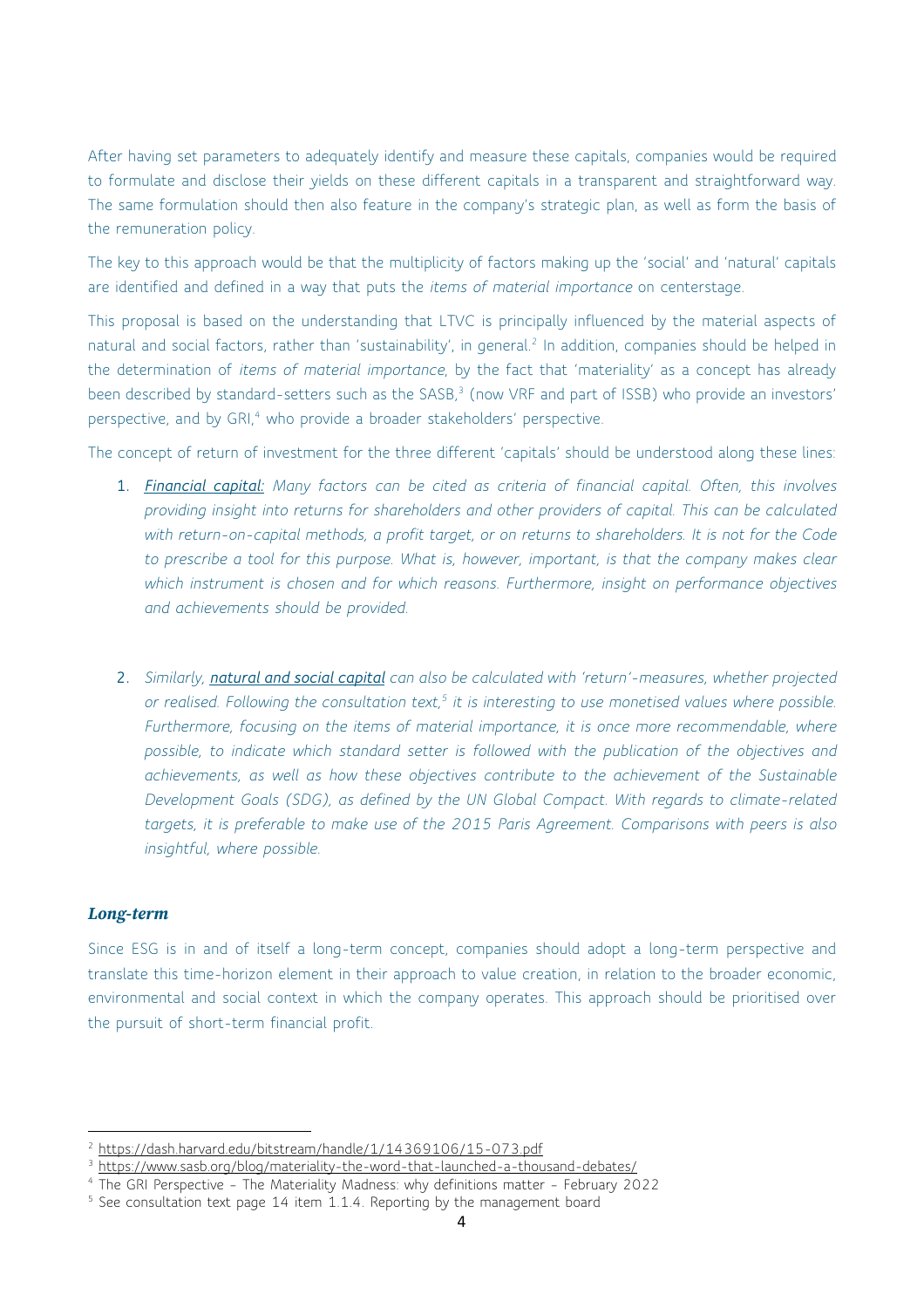After having set parameters to adequately identify and measure these capitals, companies would be required to formulate and disclose their yields on these different capitals in a transparent and straightforward way. The same formulation should then also feature in the company's strategic plan, as well as form the basis of the remuneration policy.

The key to this approach would be that the multiplicity of factors making up the 'social' and 'natural' capitals are identified and defined in a way that puts the *items of material importance* on centerstage.

This proposal is based on the understanding that LTVC is principally influenced by the material aspects of natural and social factors, rather than 'sustainability', in general.<sup>2</sup> In addition, companies should be helped in the determination of *items of material importance*, by the fact that 'materiality' as a concept has already been described by standard-setters such as the SASB,<sup>3</sup> (now VRF and part of ISSB) who provide an investors' perspective, and by GRI,<sup>4</sup> who provide a broader stakeholders' perspective.

The concept of return of investment for the three different 'capitals' should be understood along these lines:

- **1.** *Financial capital: Many factors can be cited as criteria of financial capital. Often, this involves providing insight into returns for shareholders and other providers of capital. This can be calculated with return-on-capital methods, a profit target, or on returns to shareholders. It is not for the Code to prescribe a tool for this purpose. What is, however, important, is that the company makes clear which instrument is chosen and for which reasons. Furthermore, insight on performance objectives and achievements should be provided.*
- **2.** *Similarly, natural and social capital can also be calculated with 'return'-measures, whether projected or realised. Following the consultation text,5 it is interesting to use monetised values where possible. Furthermore, focusing on the items of material importance, it is once more recommendable, where possible, to indicate which standard setter is followed with the publication of the objectives and achievements, as well as how these objectives contribute to the achievement of the Sustainable Development Goals (SDG), as defined by the UN Global Compact. With regards to climate-related targets, it is preferable to make use of the 2015 Paris Agreement. Comparisons with peers is also insightful, where possible.*

## *Long-term*

Since ESG is in and of itself a long-term concept, companies should adopt a long-term perspective and translate this time-horizon element in their approach to value creation, in relation to the broader economic, environmental and social context in which the company operates. This approach should be prioritised over the pursuit of short-term financial profit.

<sup>2</sup> https://dash.harvard.edu/bitstream/handle/1/14369106/15-073.pdf

<sup>&</sup>lt;sup>3</sup> https://www.sasb.org/blog/materiality-the-word-that-launched-a-thousand-debates/

<sup>&</sup>lt;sup>4</sup> The GRI Perspective - The Materiality Madness: why definitions matter - February 2022

<sup>&</sup>lt;sup>5</sup> See consultation text page 14 item 1.1.4. Reporting by the management board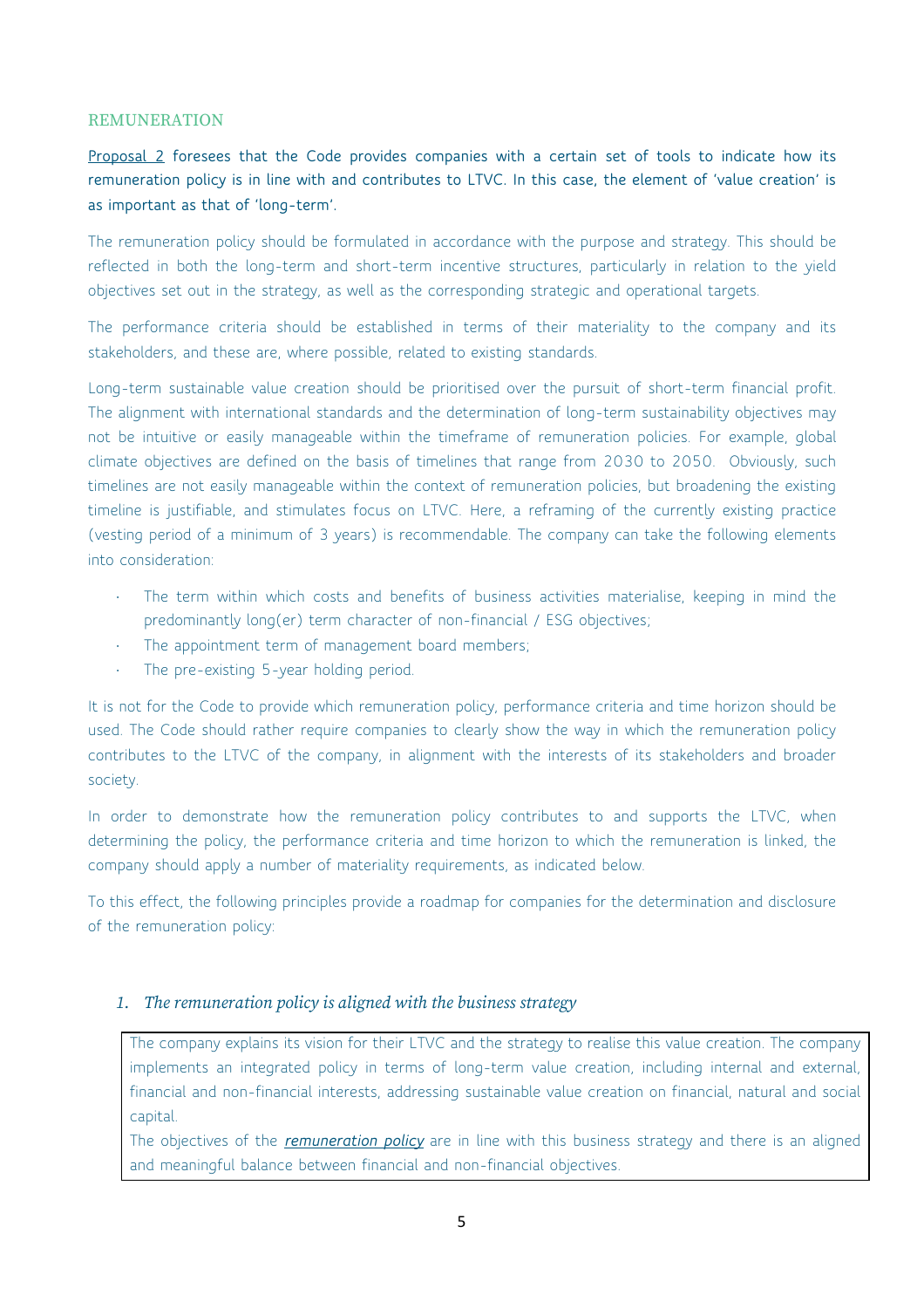#### **REMUNERATION**

**Proposal 2 foresees that the Code provides companies with a certain set of tools to indicate how its remuneration policy is in line with and contributes to LTVC. In this case, the element of 'value creation' is as important as that of 'long-term'.** 

The remuneration policy should be formulated in accordance with the purpose and strategy. This should be reflected in both the long-term and short-term incentive structures, particularly in relation to the yield objectives set out in the strategy, as well as the corresponding strategic and operational targets.

The performance criteria should be established in terms of their materiality to the company and its stakeholders, and these are, where possible, related to existing standards.

Long-term sustainable value creation should be prioritised over the pursuit of short-term financial profit. The alignment with international standards and the determination of long-term sustainability objectives may not be intuitive or easily manageable within the timeframe of remuneration policies. For example, global climate objectives are defined on the basis of timelines that range from 2030 to 2050. Obviously, such timelines are not easily manageable within the context of remuneration policies, but broadening the existing timeline is justifiable, and stimulates focus on LTVC. Here, a reframing of the currently existing practice (vesting period of a minimum of 3 years) is recommendable. The company can take the following elements into consideration:

- The term within which costs and benefits of business activities materialise, keeping in mind the predominantly long(er) term character of non-financial / ESG objectives;
- The appointment term of management board members;
- The pre-existing 5-year holding period.

It is not for the Code to provide which remuneration policy, performance criteria and time horizon should be used. The Code should rather require companies to clearly show the way in which the remuneration policy contributes to the LTVC of the company, in alignment with the interests of its stakeholders and broader society.

In order to demonstrate how the remuneration policy contributes to and supports the LTVC, when determining the policy, the performance criteria and time horizon to which the remuneration is linked, the company should apply a number of materiality requirements, as indicated below.

To this effect, the following principles provide a roadmap for companies for the determination and disclosure of the remuneration policy:

### *1. The remuneration policy is aligned with the business strategy*

The company explains its vision for their LTVC and the strategy to realise this value creation. The company implements an integrated policy in terms of long-term value creation, including internal and external, financial and non-financial interests, addressing sustainable value creation on financial, natural and social capital.

The objectives of the *remuneration policy* are in line with this business strategy and there is an aligned and meaningful balance between financial and non-financial objectives.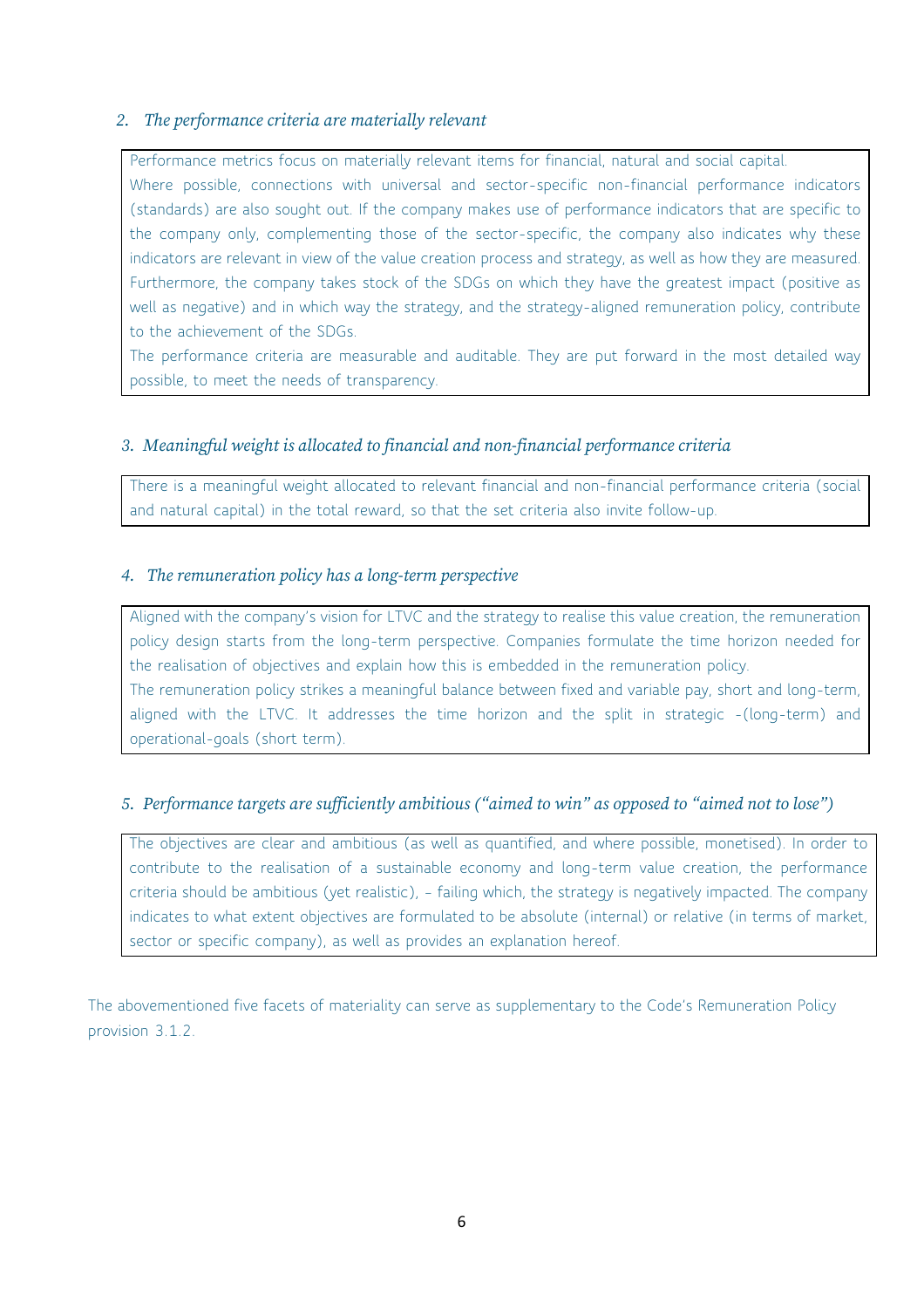## *2. The performance criteria are materially relevant*

Performance metrics focus on materially relevant items for financial, natural and social capital. Where possible, connections with universal and sector-specific non-financial performance indicators (standards) are also sought out. If the company makes use of performance indicators that are specific to the company only, complementing those of the sector-specific, the company also indicates why these indicators are relevant in view of the value creation process and strategy, as well as how they are measured. Furthermore, the company takes stock of the SDGs on which they have the greatest impact (positive as well as negative) and in which way the strategy, and the strategy-aligned remuneration policy, contribute to the achievement of the SDGs.

The performance criteria are measurable and auditable. They are put forward in the most detailed way possible, to meet the needs of transparency.

## *3. Meaningful weight is allocated to financial and non-financial performance criteria*

There is a meaningful weight allocated to relevant financial and non-financial performance criteria (social and natural capital) in the total reward, so that the set criteria also invite follow-up.

### *4. The remuneration policy has a long-term perspective*

Aligned with the company's vision for LTVC and the strategy to realise this value creation, the remuneration policy design starts from the long-term perspective. Companies formulate the time horizon needed for the realisation of objectives and explain how this is embedded in the remuneration policy. The remuneration policy strikes a meaningful balance between fixed and variable pay, short and long-term, aligned with the LTVC. It addresses the time horizon and the split in strategic -(long-term) and operational-goals (short term).

## *5. Performance targets are sufficiently ambitious ("aimed to win" as opposed to "aimed not to lose")*

The objectives are clear and ambitious (as well as quantified, and where possible, monetised). In order to contribute to the realisation of a sustainable economy and long-term value creation, the performance criteria should be ambitious (yet realistic), – failing which, the strategy is negatively impacted. The company indicates to what extent objectives are formulated to be absolute (internal) or relative (in terms of market, sector or specific company), as well as provides an explanation hereof.

The abovementioned five facets of materiality can serve as supplementary to the Code's Remuneration Policy provision 3.1.2.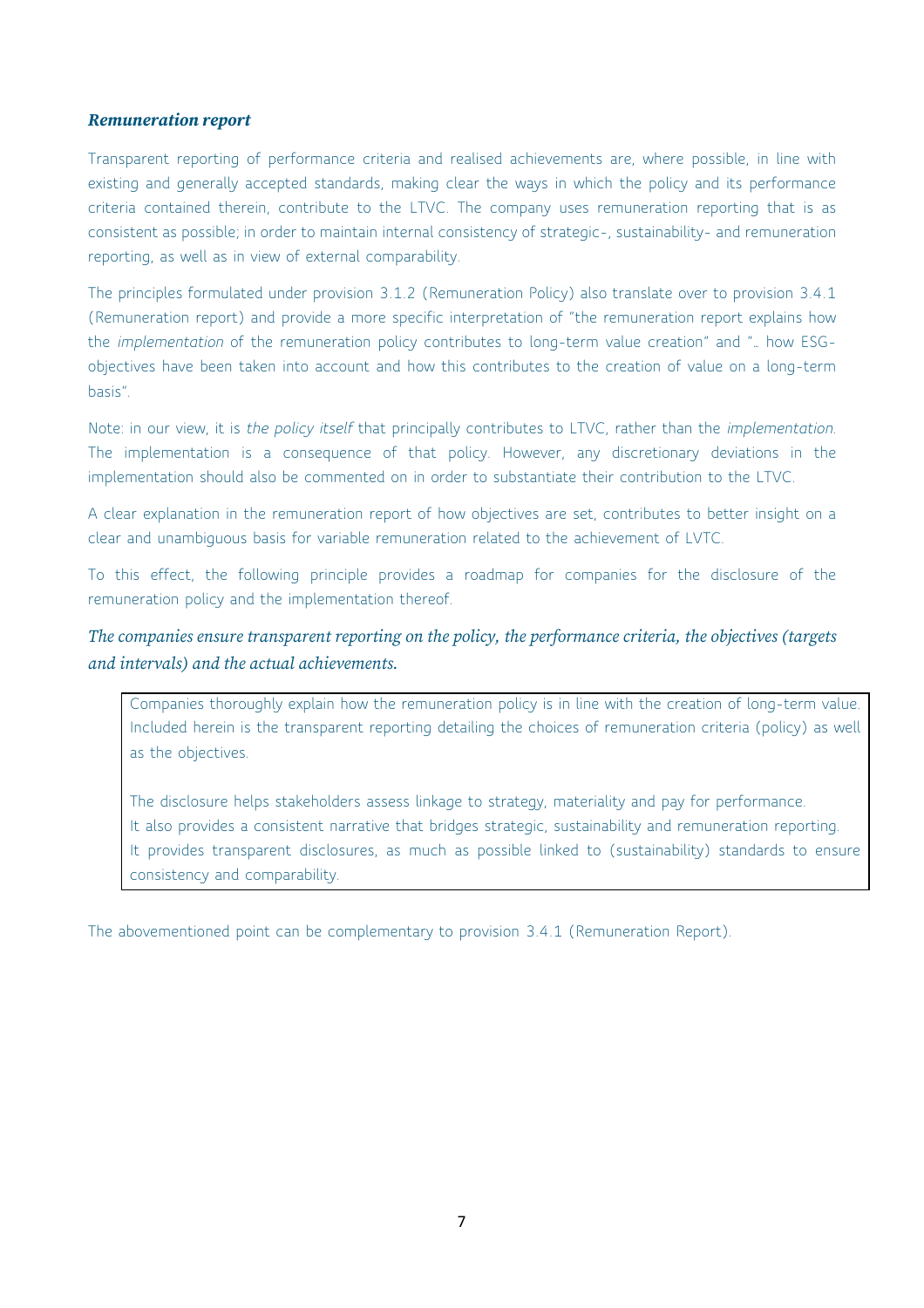### *Remuneration report*

Transparent reporting of performance criteria and realised achievements are, where possible, in line with existing and generally accepted standards, making clear the ways in which the policy and its performance criteria contained therein, contribute to the LTVC. The company uses remuneration reporting that is as consistent as possible; in order to maintain internal consistency of strategic-, sustainability- and remuneration reporting, as well as in view of external comparability.

The principles formulated under provision 3.1.2 (Remuneration Policy) also translate over to provision 3.4.1 (Remuneration report) and provide a more specific interpretation of "the remuneration report explains how the *implementation* of the remuneration policy contributes to long-term value creation" and "… how ESGobjectives have been taken into account and how this contributes to the creation of value on a long-term basis".

Note: in our view, it is *the policy itself* that principally contributes to LTVC, rather than the *implementation*. The implementation is a consequence of that policy. However, any discretionary deviations in the implementation should also be commented on in order to substantiate their contribution to the LTVC.

A clear explanation in the remuneration report of how objectives are set, contributes to better insight on a clear and unambiguous basis for variable remuneration related to the achievement of LVTC.

To this effect, the following principle provides a roadmap for companies for the disclosure of the remuneration policy and the implementation thereof.

## *The companies ensure transparent reporting on the policy, the performance criteria, the objectives (targets and intervals) and the actual achievements.*

Companies thoroughly explain how the remuneration policy is in line with the creation of long-term value. Included herein is the transparent reporting detailing the choices of remuneration criteria (policy) as well as the objectives.

The disclosure helps stakeholders assess linkage to strategy, materiality and pay for performance. It also provides a consistent narrative that bridges strategic, sustainability and remuneration reporting. It provides transparent disclosures, as much as possible linked to (sustainability) standards to ensure consistency and comparability.

The abovementioned point can be complementary to provision 3.4.1 (Remuneration Report).